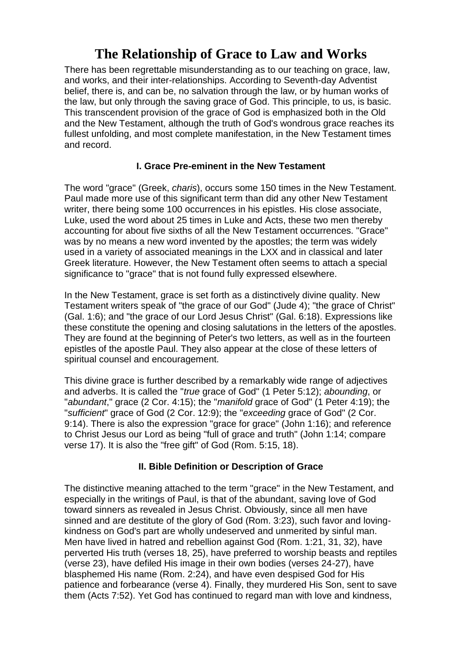# **The Relationship of Grace to Law and Works**

There has been regrettable misunderstanding as to our teaching on grace, law, and works, and their inter-relationships. According to Seventh-day Adventist belief, there is, and can be, no salvation through the law, or by human works of the law, but only through the saving grace of God. This principle, to us, is basic. This transcendent provision of the grace of God is emphasized both in the Old and the New Testament, although the truth of God's wondrous grace reaches its fullest unfolding, and most complete manifestation, in the New Testament times and record.

## **I. Grace Pre-eminent in the New Testament**

The word "grace" (Greek, *charis*), occurs some 150 times in the New Testament. Paul made more use of this significant term than did any other New Testament writer, there being some 100 occurrences in his epistles. His close associate, Luke, used the word about 25 times in Luke and Acts, these two men thereby accounting for about five sixths of all the New Testament occurrences. "Grace" was by no means a new word invented by the apostles; the term was widely used in a variety of associated meanings in the LXX and in classical and later Greek literature. However, the New Testament often seems to attach a special significance to "grace" that is not found fully expressed elsewhere.

In the New Testament, grace is set forth as a distinctively divine quality. New Testament writers speak of "the grace of our God" (Jude 4); "the grace of Christ" (Gal. 1:6); and "the grace of our Lord Jesus Christ" (Gal. 6:18). Expressions like these constitute the opening and closing salutations in the letters of the apostles. They are found at the beginning of Peter's two letters, as well as in the fourteen epistles of the apostle Paul. They also appear at the close of these letters of spiritual counsel and encouragement.

This divine grace is further described by a remarkably wide range of adjectives and adverbs. It is called the "*true* grace of God" (1 Peter 5:12); *abounding*, or "*abundant*," grace (2 Cor. 4:15); the "*manifold* grace of God" (1 Peter 4:19); the "*sufficient*" grace of God (2 Cor. 12:9); the "*exceeding* grace of God" (2 Cor. 9:14). There is also the expression "grace for grace" (John 1:16); and reference to Christ Jesus our Lord as being "full of grace and truth" (John 1:14; compare verse 17). It is also the "free gift" of God (Rom. 5:15, 18).

## **II. Bible Definition or Description of Grace**

The distinctive meaning attached to the term "grace" in the New Testament, and especially in the writings of Paul, is that of the abundant, saving love of God toward sinners as revealed in Jesus Christ. Obviously, since all men have sinned and are destitute of the glory of God (Rom. 3:23), such favor and lovingkindness on God's part are wholly undeserved and unmerited by sinful man. Men have lived in hatred and rebellion against God (Rom. 1:21, 31, 32), have perverted His truth (verses 18, 25), have preferred to worship beasts and reptiles (verse 23), have defiled His image in their own bodies (verses 24-27), have blasphemed His name (Rom. 2:24), and have even despised God for His patience and forbearance (verse 4). Finally, they murdered His Son, sent to save them (Acts 7:52). Yet God has continued to regard man with love and kindness,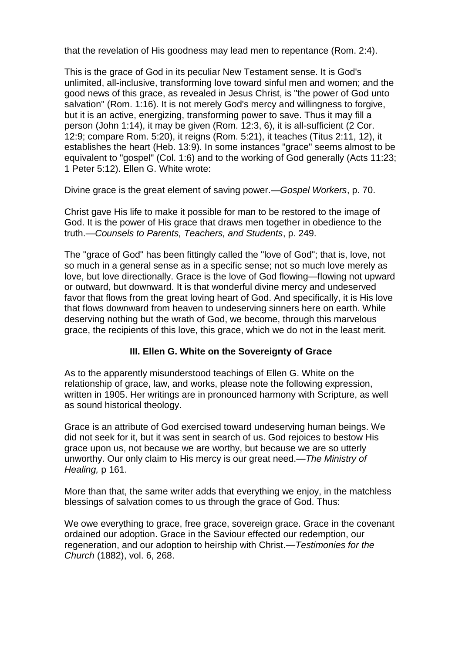that the revelation of His goodness may lead men to repentance (Rom. 2:4).

This is the grace of God in its peculiar New Testament sense. It is God's unlimited, all-inclusive, transforming love toward sinful men and women; and the good news of this grace, as revealed in Jesus Christ, is "the power of God unto salvation" (Rom. 1:16). It is not merely God's mercy and willingness to forgive, but it is an active, energizing, transforming power to save. Thus it may fill a person (John 1:14), it may be given (Rom. 12:3, 6), it is all-sufficient (2 Cor. 12:9; compare Rom. 5:20), it reigns (Rom. 5:21), it teaches (Titus 2:11, 12), it establishes the heart (Heb. 13:9). In some instances "grace" seems almost to be equivalent to "gospel" (Col. 1:6) and to the working of God generally (Acts 11:23; 1 Peter 5:12). Ellen G. White wrote:

Divine grace is the great element of saving power.—*Gospel Workers*, p. 70.

Christ gave His life to make it possible for man to be restored to the image of God. It is the power of His grace that draws men together in obedience to the truth.—*Counsels to Parents, Teachers, and Students*, p. 249.

The "grace of God" has been fittingly called the "love of God"; that is, love, not so much in a general sense as in a specific sense; not so much love merely as love, but love directionally. Grace is the love of God flowing—flowing not upward or outward, but downward. It is that wonderful divine mercy and undeserved favor that flows from the great loving heart of God. And specifically, it is His love that flows downward from heaven to undeserving sinners here on earth. While deserving nothing but the wrath of God, we become, through this marvelous grace, the recipients of this love, this grace, which we do not in the least merit.

## **III. Ellen G. White on the Sovereignty of Grace**

As to the apparently misunderstood teachings of Ellen G. White on the relationship of grace, law, and works, please note the following expression, written in 1905. Her writings are in pronounced harmony with Scripture, as well as sound historical theology.

Grace is an attribute of God exercised toward undeserving human beings. We did not seek for it, but it was sent in search of us. God rejoices to bestow His grace upon us, not because we are worthy, but because we are so utterly unworthy. Our only claim to His mercy is our great need.—*The Ministry of Healing,* p 161.

More than that, the same writer adds that everything we enjoy, in the matchless blessings of salvation comes to us through the grace of God. Thus:

We owe everything to grace, free grace, sovereign grace. Grace in the covenant ordained our adoption. Grace in the Saviour effected our redemption, our regeneration, and our adoption to heirship with Christ.—*Testimonies for the Church* (1882), vol. 6, 268.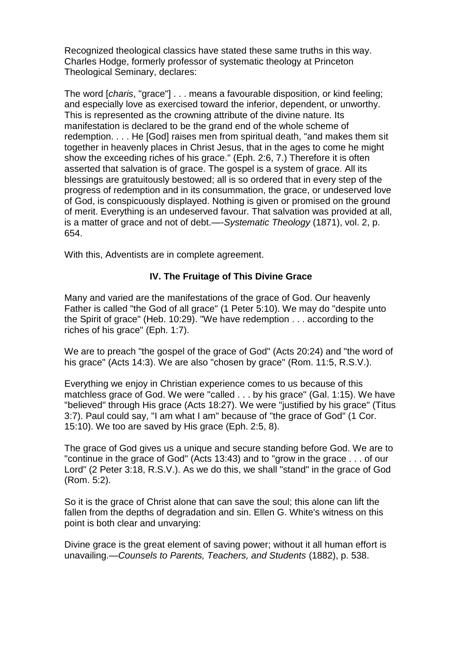Recognized theological classics have stated these same truths in this way. Charles Hodge, formerly professor of systematic theology at Princeton Theological Seminary, declares:

The word [*charis*, "grace"] . . . means a favourable disposition, or kind feeling; and especially love as exercised toward the inferior, dependent, or unworthy. This is represented as the crowning attribute of the divine nature. Its manifestation is declared to be the grand end of the whole scheme of redemption. . . . He [God] raises men from spiritual death, "and makes them sit together in heavenly places in Christ Jesus, that in the ages to come he might show the exceeding riches of his grace." (Eph. 2:6, 7.) Therefore it is often asserted that salvation is of grace. The gospel is a system of grace. All its blessings are gratuitously bestowed; all is so ordered that in every step of the progress of redemption and in its consummation, the grace, or undeserved love of God, is conspicuously displayed. Nothing is given or promised on the ground of merit. Everything is an undeserved favour. That salvation was provided at all, is a matter of grace and not of debt.—-*Systematic Theology* (1871), vol. 2, p. 654.

With this, Adventists are in complete agreement.

#### **IV. The Fruitage of This Divine Grace**

Many and varied are the manifestations of the grace of God. Our heavenly Father is called "the God of all grace" (1 Peter 5:10). We may do "despite unto the Spirit of grace" (Heb. 10:29). "We have redemption . . . according to the riches of his grace" (Eph. 1:7).

We are to preach "the gospel of the grace of God" (Acts 20:24) and "the word of his grace" (Acts 14:3). We are also "chosen by grace" (Rom. 11:5, R.S.V.).

Everything we enjoy in Christian experience comes to us because of this matchless grace of God. We were "called . . . by his grace" (Gal. 1:15). We have "believed" through His grace (Acts 18:27). We were "justified by his grace" (Titus 3:7). Paul could say, "I am what I am" because of "the grace of God" (1 Cor. 15:10). We too are saved by His grace (Eph. 2:5, 8).

The grace of God gives us a unique and secure standing before God. We are to "continue in the grace of God" (Acts 13:43) and to "grow in the grace . . . of our Lord" (2 Peter 3:18, R.S.V.). As we do this, we shall "stand" in the grace of God (Rom. 5:2).

So it is the grace of Christ alone that can save the soul; this alone can lift the fallen from the depths of degradation and sin. Ellen G. White's witness on this point is both clear and unvarying:

Divine grace is the great element of saving power; without it all human effort is unavailing.—*Counsels to Parents, Teachers, and Students* (1882), p. 538.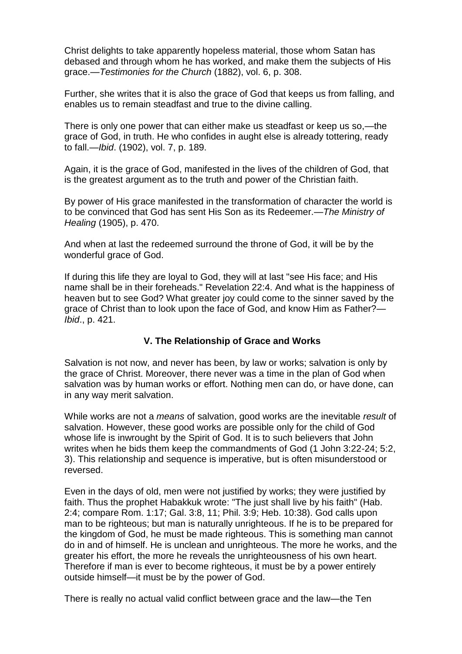Christ delights to take apparently hopeless material, those whom Satan has debased and through whom he has worked, and make them the subjects of His grace.—*Testimonies for the Church* (1882), vol. 6, p. 308.

Further, she writes that it is also the grace of God that keeps us from falling, and enables us to remain steadfast and true to the divine calling.

There is only one power that can either make us steadfast or keep us so,—the grace of God, in truth. He who confides in aught else is already tottering, ready to fall.—*Ibid*. (1902), vol. 7, p. 189.

Again, it is the grace of God, manifested in the lives of the children of God, that is the greatest argument as to the truth and power of the Christian faith.

By power of His grace manifested in the transformation of character the world is to be convinced that God has sent His Son as its Redeemer.—*The Ministry of Healing* (1905), p. 470.

And when at last the redeemed surround the throne of God, it will be by the wonderful grace of God.

If during this life they are loyal to God, they will at last "see His face; and His name shall be in their foreheads." Revelation 22:4. And what is the happiness of heaven but to see God? What greater joy could come to the sinner saved by the grace of Christ than to look upon the face of God, and know Him as Father?— *Ibid*., p. 421.

#### **V. The Relationship of Grace and Works**

Salvation is not now, and never has been, by law or works; salvation is only by the grace of Christ. Moreover, there never was a time in the plan of God when salvation was by human works or effort. Nothing men can do, or have done, can in any way merit salvation.

While works are not a *means* of salvation, good works are the inevitable *result* of salvation. However, these good works are possible only for the child of God whose life is inwrought by the Spirit of God. It is to such believers that John writes when he bids them keep the commandments of God (1 John 3:22-24; 5:2, 3). This relationship and sequence is imperative, but is often misunderstood or reversed.

Even in the days of old, men were not justified by works; they were justified by faith. Thus the prophet Habakkuk wrote: "The just shall live by his faith" (Hab. 2:4; compare Rom. 1:17; Gal. 3:8, 11; Phil. 3:9; Heb. 10:38). God calls upon man to be righteous; but man is naturally unrighteous. If he is to be prepared for the kingdom of God, he must be made righteous. This is something man cannot do in and of himself. He is unclean and unrighteous. The more he works, and the greater his effort, the more he reveals the unrighteousness of his own heart. Therefore if man is ever to become righteous, it must be by a power entirely outside himself—it must be by the power of God.

There is really no actual valid conflict between grace and the law—the Ten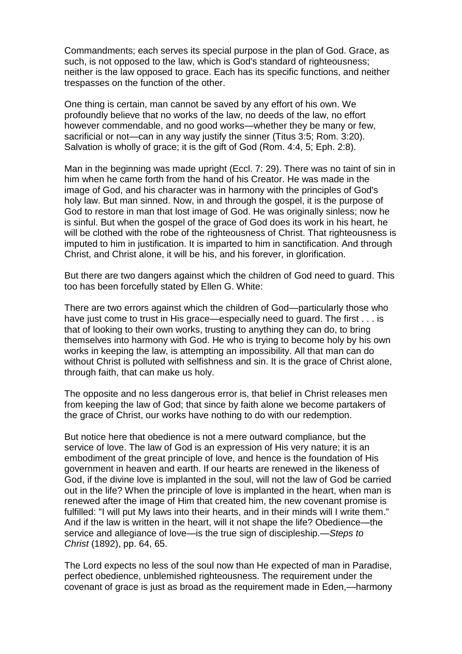Commandments; each serves its special purpose in the plan of God. Grace, as such, is not opposed to the law, which is God's standard of righteousness; neither is the law opposed to grace. Each has its specific functions, and neither trespasses on the function of the other.

One thing is certain, man cannot be saved by any effort of his own. We profoundly believe that no works of the law, no deeds of the law, no effort however commendable, and no good works—whether they be many or few, sacrificial or not—can in any way justify the sinner (Titus 3:5; Rom. 3:20). Salvation is wholly of grace; it is the gift of God (Rom. 4:4, 5; Eph. 2:8).

Man in the beginning was made upright (Eccl. 7: 29). There was no taint of sin in him when he came forth from the hand of his Creator. He was made in the image of God, and his character was in harmony with the principles of God's holy law. But man sinned. Now, in and through the gospel, it is the purpose of God to restore in man that lost image of God. He was originally sinless; now he is sinful. But when the gospel of the grace of God does its work in his heart, he will be clothed with the robe of the righteousness of Christ. That righteousness is imputed to him in justification. It is imparted to him in sanctification. And through Christ, and Christ alone, it will be his, and his forever, in glorification.

But there are two dangers against which the children of God need to guard. This too has been forcefully stated by Ellen G. White:

There are two errors against which the children of God—particularly those who have just come to trust in His grace—especially need to quard. The first . . . is that of looking to their own works, trusting to anything they can do, to bring themselves into harmony with God. He who is trying to become holy by his own works in keeping the law, is attempting an impossibility. All that man can do without Christ is polluted with selfishness and sin. It is the grace of Christ alone, through faith, that can make us holy.

The opposite and no less dangerous error is, that belief in Christ releases men from keeping the law of God; that since by faith alone we become partakers of the grace of Christ, our works have nothing to do with our redemption.

But notice here that obedience is not a mere outward compliance, but the service of love. The law of God is an expression of His very nature; it is an embodiment of the great principle of love, and hence is the foundation of His government in heaven and earth. If our hearts are renewed in the likeness of God, if the divine love is implanted in the soul, will not the law of God be carried out in the life? When the principle of love is implanted in the heart, when man is renewed after the image of Him that created him, the new covenant promise is fulfilled: "I will put My laws into their hearts, and in their minds will I write them." And if the law is written in the heart, will it not shape the life? Obedience—the service and allegiance of love—is the true sign of discipleship.—*Steps to Christ* (1892), pp. 64, 65.

The Lord expects no less of the soul now than He expected of man in Paradise, perfect obedience, unblemished righteousness. The requirement under the covenant of grace is just as broad as the requirement made in Eden,—harmony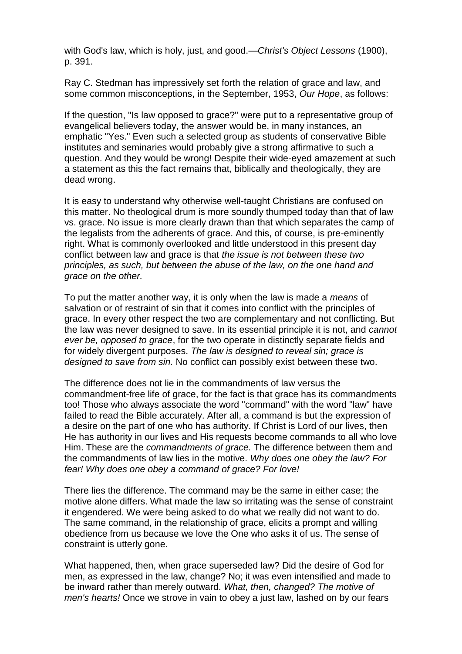with God's law, which is holy, just, and good.—*Christ's Object Lessons* (1900), p. 391.

Ray C. Stedman has impressively set forth the relation of grace and law, and some common misconceptions, in the September, 1953, *Our Hope*, as follows:

If the question, "Is law opposed to grace?" were put to a representative group of evangelical believers today, the answer would be, in many instances, an emphatic "Yes." Even such a selected group as students of conservative Bible institutes and seminaries would probably give a strong affirmative to such a question. And they would be wrong! Despite their wide-eyed amazement at such a statement as this the fact remains that, biblically and theologically, they are dead wrong.

It is easy to understand why otherwise well-taught Christians are confused on this matter. No theological drum is more soundly thumped today than that of law vs. grace. No issue is more clearly drawn than that which separates the camp of the legalists from the adherents of grace. And this, of course, is pre-eminently right. What is commonly overlooked and little understood in this present day conflict between law and grace is that *the issue is not between these two principles, as such, but between the abuse of the law, on the one hand and grace on the other.*

To put the matter another way, it is only when the law is made a *means* of salvation or of restraint of sin that it comes into conflict with the principles of grace. In every other respect the two are complementary and not conflicting. But the law was never designed to save. In its essential principle it is not, and *cannot ever be, opposed to grace*, for the two operate in distinctly separate fields and for widely divergent purposes. *The law is designed to reveal sin; grace is designed to save from sin.* No conflict can possibly exist between these two.

The difference does not lie in the commandments of law versus the commandment-free life of grace, for the fact is that grace has its commandments too! Those who always associate the word "command" with the word "law" have failed to read the Bible accurately. After all, a command is but the expression of a desire on the part of one who has authority. If Christ is Lord of our lives, then He has authority in our lives and His requests become commands to all who love Him. These are the *commandments of grace.* The difference between them and the commandments of law lies in the motive. *Why does one obey the law? For fear! Why does one obey a command of grace? For love!*

There lies the difference. The command may be the same in either case; the motive alone differs. What made the law so irritating was the sense of constraint it engendered. We were being asked to do what we really did not want to do. The same command, in the relationship of grace, elicits a prompt and willing obedience from us because we love the One who asks it of us. The sense of constraint is utterly gone.

What happened, then, when grace superseded law? Did the desire of God for men, as expressed in the law, change? No; it was even intensified and made to be inward rather than merely outward. *What, then, changed? The motive of men's hearts!* Once we strove in vain to obey a just law, lashed on by our fears